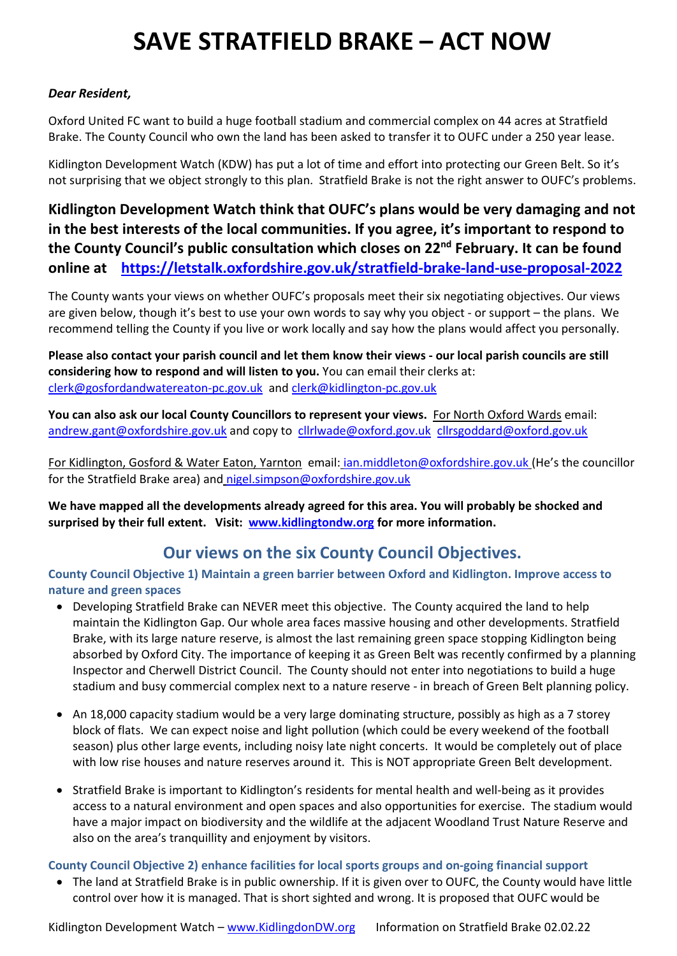# **SAVE STRATFIELD BRAKE – ACT NOW**

# *Dear Resident,*

Oxford United FC want to build a huge football stadium and commercial complex on 44 acres at Stratfield Brake. The County Council who own the land has been asked to transfer it to OUFC under a 250 year lease.

Kidlington Development Watch (KDW) has put a lot of time and effort into protecting our Green Belt. So it's not surprising that we object strongly to this plan. Stratfield Brake is not the right answer to OUFC's problems.

**Kidlington Development Watch think that OUFC's plans would be very damaging and not in the best interests of the local communities. If you agree, it's important to respond to the County Council's public consultation which closes on 22nd February. It can be found online at <https://letstalk.oxfordshire.gov.uk/stratfield-brake-land-use-proposal-2022>**

The County wants your views on whether OUFC's proposals meet their six negotiating objectives. Our views are given below, though it's best to use your own words to say why you object - or support – the plans. We recommend telling the County if you live or work locally and say how the plans would affect you personally.

**Please also contact your parish council and let them know their views - our local parish councils are still considering how to respond and will listen to you.** You can email their clerks at: [clerk@gosfordandwatereaton-pc.gov.uk](mailto:clerk@gosfordandwatereaton-pc.gov.uk) and [clerk@kidlington-pc.gov.uk](mailto:clerk@kidlington-pc.gov.uk)

**You can also ask our local County Councillors to represent your views.** For North Oxford Wards email: [andrew.gant@oxfordshire.gov.uk](mailto:andrew.gant@oxfordshire.gov.uk) and copy to [cllrlwade@oxford.gov.uk](mailto:cllrlwade@oxford.gov.uk) [cllrsgoddard@oxford.gov.uk](mailto:cllrsgoddard@oxford.gov.uk) 

For Kidlington, Gosford & Water Eaton, Yarnton email: [ian.middleton@oxfordshire.gov.uk](mailto:ian.middleton@oxfordshire.gov.uk) (He's the councillor for the Stratfield Brake area) and [nigel.simpson@oxfordshire.gov.uk](mailto:nigel.simpson@oxfordshire.gov.uk) 

**We have mapped all the developments already agreed for this area. You will probably be shocked and surprised by their full extent. Visit: [www.kidlingtondw.org](http://www.kidlingtondw.org/) for more information.**

# **Our views on the six County Council Objectives.**

**County Council Objective 1) Maintain a green barrier between Oxford and Kidlington. Improve access to nature and green spaces** 

- Developing Stratfield Brake can NEVER meet this objective. The County acquired the land to help maintain the Kidlington Gap. Our whole area faces massive housing and other developments. Stratfield Brake, with its large nature reserve, is almost the last remaining green space stopping Kidlington being absorbed by Oxford City. The importance of keeping it as Green Belt was recently confirmed by a planning Inspector and Cherwell District Council. The County should not enter into negotiations to build a huge stadium and busy commercial complex next to a nature reserve - in breach of Green Belt planning policy.
- An 18,000 capacity stadium would be a very large dominating structure, possibly as high as a 7 storey block of flats. We can expect noise and light pollution (which could be every weekend of the football season) plus other large events, including noisy late night concerts. It would be completely out of place with low rise houses and nature reserves around it. This is NOT appropriate Green Belt development.
- Stratfield Brake is important to Kidlington's residents for mental health and well-being as it provides access to a natural environment and open spaces and also opportunities for exercise. The stadium would have a major impact on biodiversity and the wildlife at the adjacent Woodland Trust Nature Reserve and also on the area's tranquillity and enjoyment by visitors.

#### **County Council Objective 2) enhance facilities for local sports groups and on-going financial support**

 The land at Stratfield Brake is in public ownership. If it is given over to OUFC, the County would have little control over how it is managed. That is short sighted and wrong. It is proposed that OUFC would be